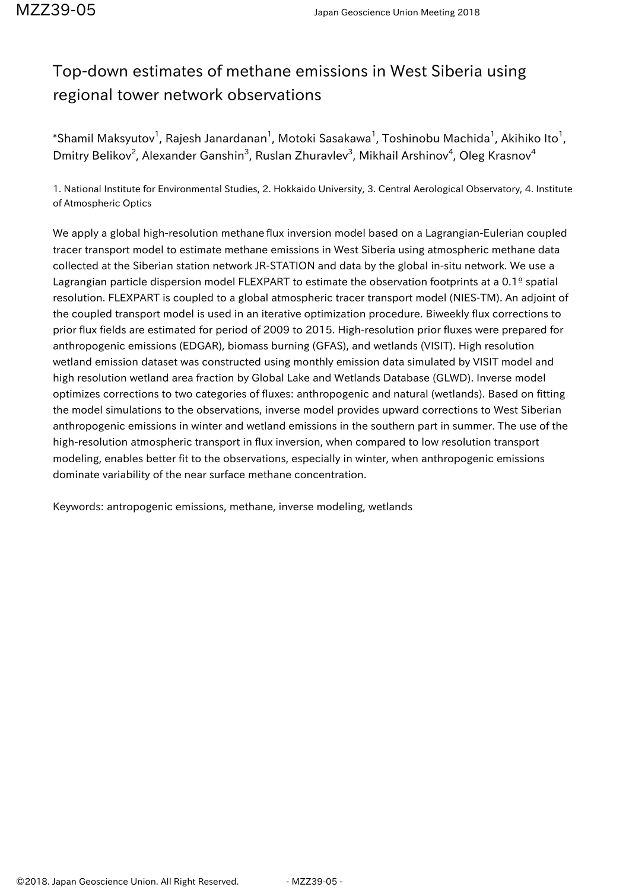## Top-down estimates of methane emissions in West Siberia using regional tower network observations

 $^*$ Shamil Maksyutov $^1$ , Rajesh Janardanan $^1$ , Motoki Sasakawa $^1$ , Toshinobu Machida $^1$ , Akihiko Ito $^1$ , Dmitry Belikov<sup>2</sup>, Alexander Ganshin<sup>3</sup>, Ruslan Zhuravlev<sup>3</sup>, Mikhail Arshinov<sup>4</sup>, Oleg Krasnov<sup>4</sup>

1. National Institute for Environmental Studies, 2. Hokkaido University, 3. Central Aerological Observatory, 4. Institute of Atmospheric Optics

We apply a global high-resolution methane flux inversion model based on a Lagrangian-Eulerian coupled tracer transport model to estimate methane emissions in West Siberia using atmospheric methane data collected at the Siberian station network JR-STATION and data by the global in-situ network. We use a Lagrangian particle dispersion model FLEXPART to estimate the observation footprints at a 0.1º spatial resolution. FLEXPART is coupled to a global atmospheric tracer transport model (NIES-TM). An adjoint of the coupled transport model is used in an iterative optimization procedure. Biweekly flux corrections to prior flux fields are estimated for period of 2009 to 2015. High-resolution prior fluxes were prepared for anthropogenic emissions (EDGAR), biomass burning (GFAS), and wetlands (VISIT). High resolution wetland emission dataset was constructed using monthly emission data simulated by VISIT model and high resolution wetland area fraction by Global Lake and Wetlands Database (GLWD). Inverse model optimizes corrections to two categories of fluxes: anthropogenic and natural (wetlands). Based on fitting the model simulations to the observations, inverse model provides upward corrections to West Siberian anthropogenic emissions in winter and wetland emissions in the southern part in summer. The use of the high-resolution atmospheric transport in flux inversion, when compared to low resolution transport modeling, enables better fit to the observations, especially in winter, when anthropogenic emissions dominate variability of the near surface methane concentration.

Keywords: antropogenic emissions, methane, inverse modeling, wetlands